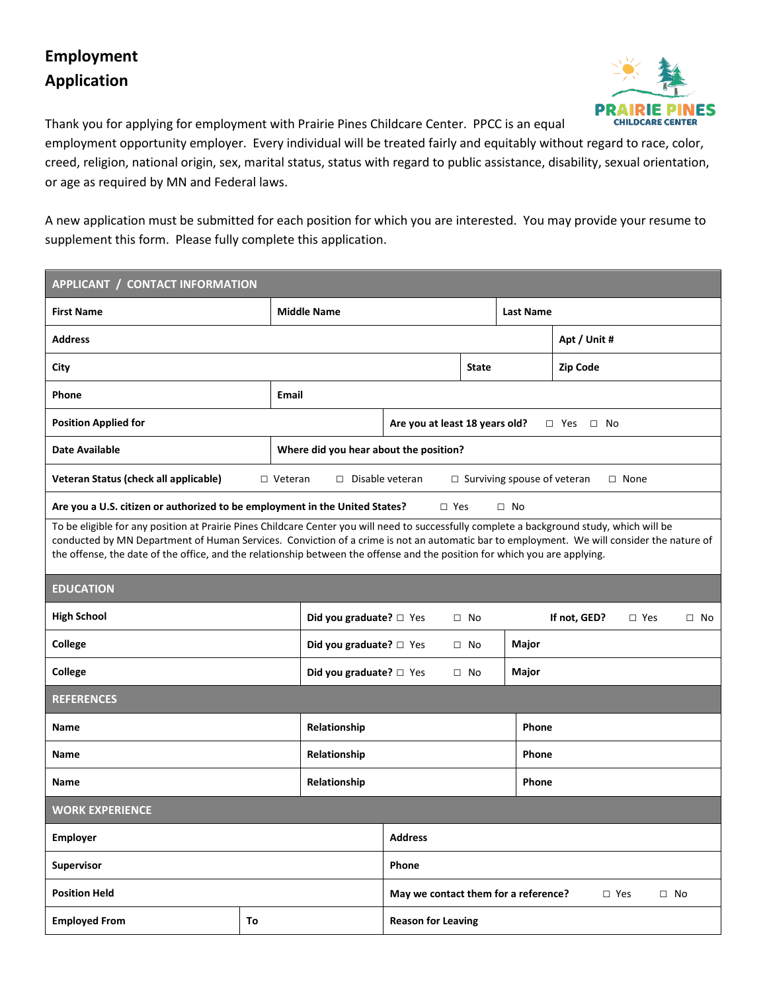## **Employment Application**



Thank you for applying for employment with Prairie Pines Childcare Center. PPCC is an equal

employment opportunity employer. Every individual will be treated fairly and equitably without regard to race, color, creed, religion, national origin, sex, marital status, status with regard to public assistance, disability, sexual orientation, or age as required by MN and Federal laws.

A new application must be submitted for each position for which you are interested. You may provide your resume to supplement this form. Please fully complete this application.

| <b>APPLICANT / CONTACT INFORMATION</b>                                                                                                                                                                                                                                                                                                                                                                                |              |                                        |                                                                    |              |                  |              |               |           |  |
|-----------------------------------------------------------------------------------------------------------------------------------------------------------------------------------------------------------------------------------------------------------------------------------------------------------------------------------------------------------------------------------------------------------------------|--------------|----------------------------------------|--------------------------------------------------------------------|--------------|------------------|--------------|---------------|-----------|--|
| <b>First Name</b>                                                                                                                                                                                                                                                                                                                                                                                                     |              | <b>Middle Name</b>                     |                                                                    |              | <b>Last Name</b> |              |               |           |  |
| <b>Address</b>                                                                                                                                                                                                                                                                                                                                                                                                        |              |                                        |                                                                    |              |                  | Apt / Unit # |               |           |  |
| <b>City</b>                                                                                                                                                                                                                                                                                                                                                                                                           |              |                                        |                                                                    | <b>State</b> |                  | Zip Code     |               |           |  |
| Phone                                                                                                                                                                                                                                                                                                                                                                                                                 | <b>Email</b> |                                        |                                                                    |              |                  |              |               |           |  |
| <b>Position Applied for</b>                                                                                                                                                                                                                                                                                                                                                                                           |              |                                        | Are you at least 18 years old?<br>$\Box$ Yes $\Box$ No             |              |                  |              |               |           |  |
| Date Available                                                                                                                                                                                                                                                                                                                                                                                                        |              | Where did you hear about the position? |                                                                    |              |                  |              |               |           |  |
| Veteran Status (check all applicable)<br>□ Disable veteran<br>$\Box$ Surviving spouse of veteran<br>$\square$ None<br>$\Box$ Veteran                                                                                                                                                                                                                                                                                  |              |                                        |                                                                    |              |                  |              |               |           |  |
| Are you a U.S. citizen or authorized to be employment in the United States?<br>$\Box$ Yes<br>$\Box$ No                                                                                                                                                                                                                                                                                                                |              |                                        |                                                                    |              |                  |              |               |           |  |
| To be eligible for any position at Prairie Pines Childcare Center you will need to successfully complete a background study, which will be<br>conducted by MN Department of Human Services. Conviction of a crime is not an automatic bar to employment. We will consider the nature of<br>the offense, the date of the office, and the relationship between the offense and the position for which you are applying. |              |                                        |                                                                    |              |                  |              |               |           |  |
| <b>EDUCATION</b>                                                                                                                                                                                                                                                                                                                                                                                                      |              |                                        |                                                                    |              |                  |              |               |           |  |
| <b>High School</b>                                                                                                                                                                                                                                                                                                                                                                                                    |              | Did you graduate? $\square$ Yes        |                                                                    | $\square$ No |                  | If not, GED? | $\square$ Yes | $\Box$ No |  |
| <b>College</b>                                                                                                                                                                                                                                                                                                                                                                                                        |              | <b>Did you graduate?</b> □ Yes         |                                                                    | $\Box$ No    | Major            |              |               |           |  |
| College                                                                                                                                                                                                                                                                                                                                                                                                               |              | Did you graduate? $\square$ Yes        |                                                                    | $\Box$ No    | Major            |              |               |           |  |
| <b>REFERENCES</b>                                                                                                                                                                                                                                                                                                                                                                                                     |              |                                        |                                                                    |              |                  |              |               |           |  |
| Name                                                                                                                                                                                                                                                                                                                                                                                                                  |              | Relationship                           |                                                                    |              |                  | <b>Phone</b> |               |           |  |
| Name                                                                                                                                                                                                                                                                                                                                                                                                                  |              | Relationship                           |                                                                    |              |                  | Phone        |               |           |  |
| Name                                                                                                                                                                                                                                                                                                                                                                                                                  |              | Relationship                           |                                                                    |              | Phone            |              |               |           |  |
| <b>WORK EXPERIENCE</b>                                                                                                                                                                                                                                                                                                                                                                                                |              |                                        |                                                                    |              |                  |              |               |           |  |
| Employer                                                                                                                                                                                                                                                                                                                                                                                                              |              |                                        | <b>Address</b>                                                     |              |                  |              |               |           |  |
| <b>Supervisor</b>                                                                                                                                                                                                                                                                                                                                                                                                     |              |                                        | Phone                                                              |              |                  |              |               |           |  |
| <b>Position Held</b>                                                                                                                                                                                                                                                                                                                                                                                                  |              |                                        | May we contact them for a reference?<br>$\Box$ Yes<br>$\square$ No |              |                  |              |               |           |  |
|                                                                                                                                                                                                                                                                                                                                                                                                                       |              |                                        |                                                                    |              |                  |              |               |           |  |